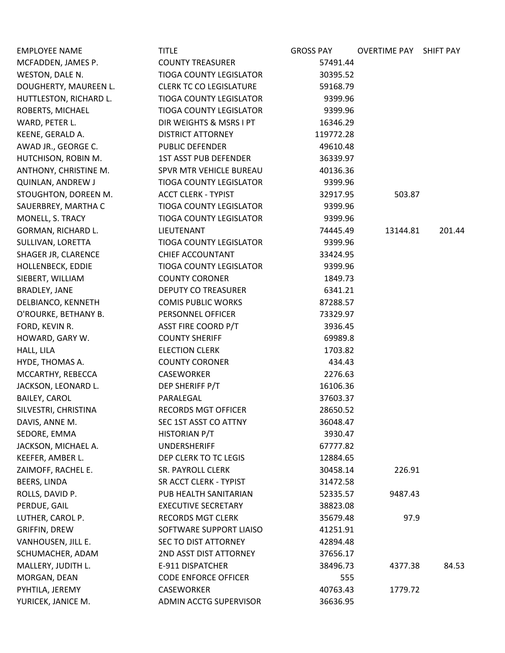| <b>EMPLOYEE NAME</b>     | <b>TITLE</b>                   | <b>GROSS PAY</b> | OVERTIME PAY SHIFT PAY |        |
|--------------------------|--------------------------------|------------------|------------------------|--------|
| MCFADDEN, JAMES P.       | <b>COUNTY TREASURER</b>        | 57491.44         |                        |        |
| WESTON, DALE N.          | <b>TIOGA COUNTY LEGISLATOR</b> | 30395.52         |                        |        |
| DOUGHERTY, MAUREEN L.    | <b>CLERK TC CO LEGISLATURE</b> | 59168.79         |                        |        |
| HUTTLESTON, RICHARD L.   | <b>TIOGA COUNTY LEGISLATOR</b> | 9399.96          |                        |        |
| ROBERTS, MICHAEL         | <b>TIOGA COUNTY LEGISLATOR</b> | 9399.96          |                        |        |
| WARD, PETER L.           | DIR WEIGHTS & MSRS I PT        | 16346.29         |                        |        |
| KEENE, GERALD A.         | <b>DISTRICT ATTORNEY</b>       | 119772.28        |                        |        |
| AWAD JR., GEORGE C.      | <b>PUBLIC DEFENDER</b>         | 49610.48         |                        |        |
| HUTCHISON, ROBIN M.      | <b>1ST ASST PUB DEFENDER</b>   | 36339.97         |                        |        |
| ANTHONY, CHRISTINE M.    | SPVR MTR VEHICLE BUREAU        | 40136.36         |                        |        |
| <b>QUINLAN, ANDREW J</b> | <b>TIOGA COUNTY LEGISLATOR</b> | 9399.96          |                        |        |
| STOUGHTON, DOREEN M.     | <b>ACCT CLERK - TYPIST</b>     | 32917.95         | 503.87                 |        |
| SAUERBREY, MARTHA C      | <b>TIOGA COUNTY LEGISLATOR</b> | 9399.96          |                        |        |
| MONELL, S. TRACY         | <b>TIOGA COUNTY LEGISLATOR</b> | 9399.96          |                        |        |
| GORMAN, RICHARD L.       | LIEUTENANT                     | 74445.49         | 13144.81               | 201.44 |
| SULLIVAN, LORETTA        | TIOGA COUNTY LEGISLATOR        | 9399.96          |                        |        |
| SHAGER JR, CLARENCE      | <b>CHIEF ACCOUNTANT</b>        | 33424.95         |                        |        |
| HOLLENBECK, EDDIE        | <b>TIOGA COUNTY LEGISLATOR</b> | 9399.96          |                        |        |
| SIEBERT, WILLIAM         | <b>COUNTY CORONER</b>          | 1849.73          |                        |        |
| BRADLEY, JANE            | <b>DEPUTY CO TREASURER</b>     | 6341.21          |                        |        |
| DELBIANCO, KENNETH       | <b>COMIS PUBLIC WORKS</b>      | 87288.57         |                        |        |
| O'ROURKE, BETHANY B.     | PERSONNEL OFFICER              | 73329.97         |                        |        |
| FORD, KEVIN R.           | ASST FIRE COORD P/T            | 3936.45          |                        |        |
| HOWARD, GARY W.          | <b>COUNTY SHERIFF</b>          | 69989.8          |                        |        |
| HALL, LILA               | <b>ELECTION CLERK</b>          | 1703.82          |                        |        |
| HYDE, THOMAS A.          | <b>COUNTY CORONER</b>          | 434.43           |                        |        |
| MCCARTHY, REBECCA        | CASEWORKER                     | 2276.63          |                        |        |
| JACKSON, LEONARD L.      | DEP SHERIFF P/T                | 16106.36         |                        |        |
| <b>BAILEY, CAROL</b>     | PARALEGAL                      | 37603.37         |                        |        |
| SILVESTRI, CHRISTINA     | <b>RECORDS MGT OFFICER</b>     | 28650.52         |                        |        |
| DAVIS, ANNE M.           | SEC 1ST ASST CO ATTNY          | 36048.47         |                        |        |
| SEDORE, EMMA             | HISTORIAN P/T                  | 3930.47          |                        |        |
| JACKSON, MICHAEL A.      | <b>UNDERSHERIFF</b>            | 67777.82         |                        |        |
| KEEFER, AMBER L.         | DEP CLERK TO TC LEGIS          | 12884.65         |                        |        |
| ZAIMOFF, RACHEL E.       | SR. PAYROLL CLERK              | 30458.14         | 226.91                 |        |
| BEERS, LINDA             | SR ACCT CLERK - TYPIST         | 31472.58         |                        |        |
| ROLLS, DAVID P.          | PUB HEALTH SANITARIAN          | 52335.57         | 9487.43                |        |
| PERDUE, GAIL             | <b>EXECUTIVE SECRETARY</b>     | 38823.08         |                        |        |
| LUTHER, CAROL P.         | <b>RECORDS MGT CLERK</b>       | 35679.48         | 97.9                   |        |
| <b>GRIFFIN, DREW</b>     | SOFTWARE SUPPORT LIAISO        | 41251.91         |                        |        |
| VANHOUSEN, JILL E.       | SEC TO DIST ATTORNEY           | 42894.48         |                        |        |
| SCHUMACHER, ADAM         | 2ND ASST DIST ATTORNEY         | 37656.17         |                        |        |
| MALLERY, JUDITH L.       | E-911 DISPATCHER               | 38496.73         | 4377.38                | 84.53  |
| MORGAN, DEAN             | <b>CODE ENFORCE OFFICER</b>    | 555              |                        |        |
| PYHTILA, JEREMY          | CASEWORKER                     | 40763.43         | 1779.72                |        |
| YURICEK, JANICE M.       | ADMIN ACCTG SUPERVISOR         | 36636.95         |                        |        |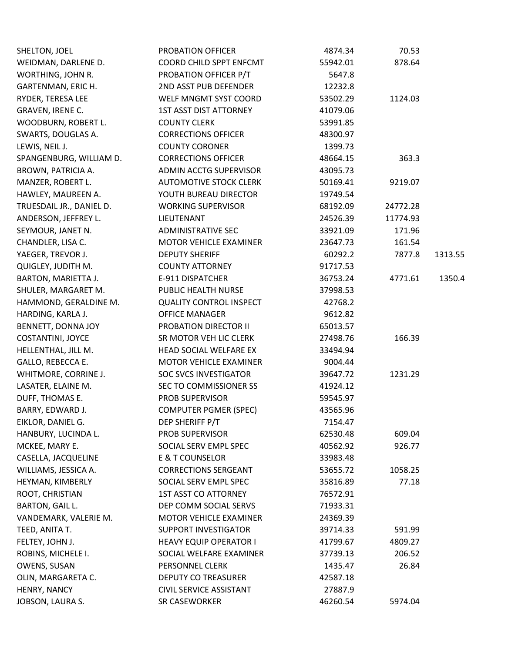| SHELTON, JOEL              | PROBATION OFFICER              | 4874.34  | 70.53    |         |
|----------------------------|--------------------------------|----------|----------|---------|
| WEIDMAN, DARLENE D.        | COORD CHILD SPPT ENFCMT        | 55942.01 | 878.64   |         |
| WORTHING, JOHN R.          | PROBATION OFFICER P/T          | 5647.8   |          |         |
| GARTENMAN, ERIC H.         | 2ND ASST PUB DEFENDER          | 12232.8  |          |         |
| RYDER, TERESA LEE          | WELF MNGMT SYST COORD          | 53502.29 | 1124.03  |         |
| GRAVEN, IRENE C.           | <b>1ST ASST DIST ATTORNEY</b>  | 41079.06 |          |         |
| WOODBURN, ROBERT L.        | <b>COUNTY CLERK</b>            | 53991.85 |          |         |
| SWARTS, DOUGLAS A.         | <b>CORRECTIONS OFFICER</b>     | 48300.97 |          |         |
| LEWIS, NEIL J.             | <b>COUNTY CORONER</b>          | 1399.73  |          |         |
| SPANGENBURG, WILLIAM D.    | <b>CORRECTIONS OFFICER</b>     | 48664.15 | 363.3    |         |
| BROWN, PATRICIA A.         | ADMIN ACCTG SUPERVISOR         | 43095.73 |          |         |
| MANZER, ROBERT L.          | <b>AUTOMOTIVE STOCK CLERK</b>  | 50169.41 | 9219.07  |         |
| HAWLEY, MAUREEN A.         | YOUTH BUREAU DIRECTOR          | 19749.54 |          |         |
| TRUESDAIL JR., DANIEL D.   | <b>WORKING SUPERVISOR</b>      | 68192.09 | 24772.28 |         |
| ANDERSON, JEFFREY L.       | LIEUTENANT                     | 24526.39 | 11774.93 |         |
| SEYMOUR, JANET N.          | <b>ADMINISTRATIVE SEC</b>      | 33921.09 | 171.96   |         |
| CHANDLER, LISA C.          | MOTOR VEHICLE EXAMINER         | 23647.73 | 161.54   |         |
| YAEGER, TREVOR J.          | <b>DEPUTY SHERIFF</b>          | 60292.2  | 7877.8   | 1313.55 |
| QUIGLEY, JUDITH M.         | <b>COUNTY ATTORNEY</b>         | 91717.53 |          |         |
| <b>BARTON, MARIETTA J.</b> | E-911 DISPATCHER               | 36753.24 | 4771.61  | 1350.4  |
| SHULER, MARGARET M.        | PUBLIC HEALTH NURSE            | 37998.53 |          |         |
| HAMMOND, GERALDINE M.      | <b>QUALITY CONTROL INSPECT</b> | 42768.2  |          |         |
| HARDING, KARLA J.          | <b>OFFICE MANAGER</b>          | 9612.82  |          |         |
| BENNETT, DONNA JOY         | PROBATION DIRECTOR II          | 65013.57 |          |         |
| COSTANTINI, JOYCE          | SR MOTOR VEH LIC CLERK         | 27498.76 | 166.39   |         |
| HELLENTHAL, JILL M.        | HEAD SOCIAL WELFARE EX         | 33494.94 |          |         |
| GALLO, REBECCA E.          | MOTOR VEHICLE EXAMINER         | 9004.44  |          |         |
| WHITMORE, CORRINE J.       | <b>SOC SVCS INVESTIGATOR</b>   | 39647.72 | 1231.29  |         |
| LASATER, ELAINE M.         | SEC TO COMMISSIONER SS         | 41924.12 |          |         |
| DUFF, THOMAS E.            | <b>PROB SUPERVISOR</b>         | 59545.97 |          |         |
| BARRY, EDWARD J.           | <b>COMPUTER PGMER (SPEC)</b>   | 43565.96 |          |         |
| EIKLOR, DANIEL G.          | DEP SHERIFF P/T                | 7154.47  |          |         |
| HANBURY, LUCINDA L.        | <b>PROB SUPERVISOR</b>         | 62530.48 | 609.04   |         |
| MCKEE, MARY E.             | SOCIAL SERV EMPL SPEC          | 40562.92 | 926.77   |         |
| CASELLA, JACQUELINE        | E & T COUNSELOR                | 33983.48 |          |         |
| WILLIAMS, JESSICA A.       | <b>CORRECTIONS SERGEANT</b>    | 53655.72 | 1058.25  |         |
| HEYMAN, KIMBERLY           | SOCIAL SERV EMPL SPEC          | 35816.89 | 77.18    |         |
| ROOT, CHRISTIAN            | <b>1ST ASST CO ATTORNEY</b>    | 76572.91 |          |         |
| BARTON, GAIL L.            | DEP COMM SOCIAL SERVS          | 71933.31 |          |         |
| VANDEMARK, VALERIE M.      | MOTOR VEHICLE EXAMINER         | 24369.39 |          |         |
| TEED, ANITA T.             | <b>SUPPORT INVESTIGATOR</b>    | 39714.33 | 591.99   |         |
| FELTEY, JOHN J.            | <b>HEAVY EQUIP OPERATOR I</b>  | 41799.67 | 4809.27  |         |
| ROBINS, MICHELE I.         | SOCIAL WELFARE EXAMINER        | 37739.13 | 206.52   |         |
| OWENS, SUSAN               | PERSONNEL CLERK                | 1435.47  | 26.84    |         |
| OLIN, MARGARETA C.         | <b>DEPUTY CO TREASURER</b>     | 42587.18 |          |         |
| HENRY, NANCY               | <b>CIVIL SERVICE ASSISTANT</b> | 27887.9  |          |         |
| JOBSON, LAURA S.           | SR CASEWORKER                  | 46260.54 | 5974.04  |         |
|                            |                                |          |          |         |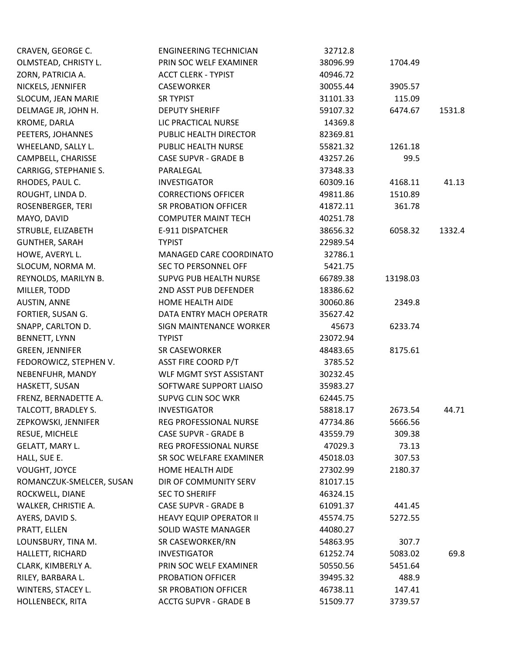| CRAVEN, GEORGE C.        | <b>ENGINEERING TECHNICIAN</b>  | 32712.8  |          |        |
|--------------------------|--------------------------------|----------|----------|--------|
| OLMSTEAD, CHRISTY L.     | PRIN SOC WELF EXAMINER         | 38096.99 | 1704.49  |        |
| ZORN, PATRICIA A.        | <b>ACCT CLERK - TYPIST</b>     | 40946.72 |          |        |
| NICKELS, JENNIFER        | CASEWORKER                     | 30055.44 | 3905.57  |        |
| SLOCUM, JEAN MARIE       | <b>SR TYPIST</b>               | 31101.33 | 115.09   |        |
| DELMAGE JR, JOHN H.      | <b>DEPUTY SHERIFF</b>          | 59107.32 | 6474.67  | 1531.8 |
| KROME, DARLA             | LIC PRACTICAL NURSE            | 14369.8  |          |        |
| PEETERS, JOHANNES        | PUBLIC HEALTH DIRECTOR         | 82369.81 |          |        |
| WHEELAND, SALLY L.       | PUBLIC HEALTH NURSE            | 55821.32 | 1261.18  |        |
| CAMPBELL, CHARISSE       | <b>CASE SUPVR - GRADE B</b>    | 43257.26 | 99.5     |        |
| CARRIGG, STEPHANIE S.    | PARALEGAL                      | 37348.33 |          |        |
| RHODES, PAUL C.          | <b>INVESTIGATOR</b>            | 60309.16 | 4168.11  | 41.13  |
| ROUGHT, LINDA D.         | <b>CORRECTIONS OFFICER</b>     | 49811.86 | 1510.89  |        |
| ROSENBERGER, TERI        | SR PROBATION OFFICER           | 41872.11 | 361.78   |        |
| MAYO, DAVID              | <b>COMPUTER MAINT TECH</b>     | 40251.78 |          |        |
| STRUBLE, ELIZABETH       | E-911 DISPATCHER               | 38656.32 | 6058.32  | 1332.4 |
| <b>GUNTHER, SARAH</b>    | <b>TYPIST</b>                  | 22989.54 |          |        |
| HOWE, AVERYL L.          | MANAGED CARE COORDINATO        | 32786.1  |          |        |
| SLOCUM, NORMA M.         | <b>SEC TO PERSONNEL OFF</b>    | 5421.75  |          |        |
| REYNOLDS, MARILYN B.     | <b>SUPVG PUB HEALTH NURSE</b>  | 66789.38 | 13198.03 |        |
| MILLER, TODD             | 2ND ASST PUB DEFENDER          | 18386.62 |          |        |
| <b>AUSTIN, ANNE</b>      | HOME HEALTH AIDE               | 30060.86 | 2349.8   |        |
| FORTIER, SUSAN G.        | DATA ENTRY MACH OPERATR        | 35627.42 |          |        |
| SNAPP, CARLTON D.        | SIGN MAINTENANCE WORKER        | 45673    | 6233.74  |        |
| <b>BENNETT, LYNN</b>     | <b>TYPIST</b>                  | 23072.94 |          |        |
| <b>GREEN, JENNIFER</b>   | <b>SR CASEWORKER</b>           | 48483.65 | 8175.61  |        |
| FEDOROWICZ, STEPHEN V.   | <b>ASST FIRE COORD P/T</b>     | 3785.52  |          |        |
| NEBENFUHR, MANDY         | WLF MGMT SYST ASSISTANT        | 30232.45 |          |        |
| HASKETT, SUSAN           | SOFTWARE SUPPORT LIAISO        | 35983.27 |          |        |
| FRENZ, BERNADETTE A.     | SUPVG CLIN SOC WKR             | 62445.75 |          |        |
| TALCOTT, BRADLEY S.      | <b>INVESTIGATOR</b>            | 58818.17 | 2673.54  | 44.71  |
| ZEPKOWSKI, JENNIFER      | REG PROFESSIONAL NURSE         | 47734.86 | 5666.56  |        |
| RESUE, MICHELE           | <b>CASE SUPVR - GRADE B</b>    | 43559.79 | 309.38   |        |
| GELATT, MARY L.          | REG PROFESSIONAL NURSE         | 47029.3  | 73.13    |        |
| HALL, SUE E.             | SR SOC WELFARE EXAMINER        | 45018.03 | 307.53   |        |
| VOUGHT, JOYCE            | HOME HEALTH AIDE               | 27302.99 | 2180.37  |        |
| ROMANCZUK-SMELCER, SUSAN | DIR OF COMMUNITY SERV          | 81017.15 |          |        |
| ROCKWELL, DIANE          | <b>SEC TO SHERIFF</b>          | 46324.15 |          |        |
| WALKER, CHRISTIE A.      | <b>CASE SUPVR - GRADE B</b>    | 61091.37 | 441.45   |        |
| AYERS, DAVID S.          | <b>HEAVY EQUIP OPERATOR II</b> | 45574.75 | 5272.55  |        |
| PRATT, ELLEN             | SOLID WASTE MANAGER            | 44080.27 |          |        |
| LOUNSBURY, TINA M.       | SR CASEWORKER/RN               | 54863.95 | 307.7    |        |
| HALLETT, RICHARD         | <b>INVESTIGATOR</b>            | 61252.74 | 5083.02  | 69.8   |
| CLARK, KIMBERLY A.       | PRIN SOC WELF EXAMINER         | 50550.56 | 5451.64  |        |
| RILEY, BARBARA L.        | PROBATION OFFICER              | 39495.32 | 488.9    |        |
| WINTERS, STACEY L.       | SR PROBATION OFFICER           | 46738.11 | 147.41   |        |
| HOLLENBECK, RITA         | <b>ACCTG SUPVR - GRADE B</b>   | 51509.77 | 3739.57  |        |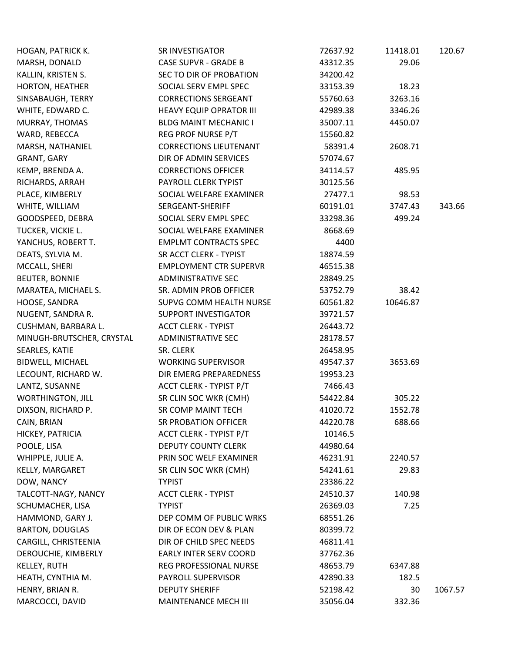| 29.06<br>MARSH, DONALD<br><b>CASE SUPVR - GRADE B</b><br>43312.35<br>SEC TO DIR OF PROBATION<br>KALLIN, KRISTEN S.<br>34200.42<br>HORTON, HEATHER<br>SOCIAL SERV EMPL SPEC<br>33153.39<br>18.23<br>SINSABAUGH, TERRY<br><b>CORRECTIONS SERGEANT</b><br>55760.63<br>3263.16<br>WHITE, EDWARD C.<br><b>HEAVY EQUIP OPRATOR III</b><br>3346.26<br>42989.38<br><b>BLDG MAINT MECHANIC I</b><br>35007.11<br>MURRAY, THOMAS<br>4450.07<br>REG PROF NURSE P/T<br>WARD, REBECCA<br>15560.82<br><b>CORRECTIONS LIEUTENANT</b><br>MARSH, NATHANIEL<br>58391.4<br>2608.71<br>GRANT, GARY<br>DIR OF ADMIN SERVICES<br>57074.67<br>KEMP, BRENDA A.<br><b>CORRECTIONS OFFICER</b><br>34114.57<br>485.95<br>RICHARDS, ARRAH<br>PAYROLL CLERK TYPIST<br>30125.56<br>PLACE, KIMBERLY<br>SOCIAL WELFARE EXAMINER<br>27477.1<br>98.53<br>WHITE, WILLIAM<br>SERGEANT-SHERIFF<br>60191.01<br>3747.43<br>343.66<br>GOODSPEED, DEBRA<br>SOCIAL SERV EMPL SPEC<br>33298.36<br>499.24<br>TUCKER, VICKIE L.<br>SOCIAL WELFARE EXAMINER<br>8668.69<br>YANCHUS, ROBERT T.<br><b>EMPLMT CONTRACTS SPEC</b><br>4400<br>DEATS, SYLVIA M.<br>SR ACCT CLERK - TYPIST<br>18874.59<br>MCCALL, SHERI<br><b>EMPLOYMENT CTR SUPERVR</b><br>46515.38<br><b>BEUTER, BONNIE</b><br><b>ADMINISTRATIVE SEC</b><br>28849.25<br>MARATEA, MICHAEL S.<br>SR. ADMIN PROB OFFICER<br>53752.79<br>38.42<br>HOOSE, SANDRA<br>SUPVG COMM HEALTH NURSE<br>10646.87<br>60561.82<br>NUGENT, SANDRA R.<br><b>SUPPORT INVESTIGATOR</b><br>39721.57<br><b>ACCT CLERK - TYPIST</b><br>CUSHMAN, BARBARA L.<br>26443.72<br>MINUGH-BRUTSCHER, CRYSTAL<br><b>ADMINISTRATIVE SEC</b><br>28178.57<br>SEARLES, KATIE<br>SR. CLERK<br>26458.95<br><b>BIDWELL, MICHAEL</b><br><b>WORKING SUPERVISOR</b><br>49547.37<br>3653.69<br>DIR EMERG PREPAREDNESS<br>LECOUNT, RICHARD W.<br>19953.23<br>ACCT CLERK - TYPIST P/T<br>LANTZ, SUSANNE<br>7466.43<br>SR CLIN SOC WKR (CMH)<br><b>WORTHINGTON, JILL</b><br>305.22<br>54422.84<br>DIXSON, RICHARD P.<br>SR COMP MAINT TECH<br>41020.72<br>1552.78<br>688.66<br>CAIN, BRIAN<br>SR PROBATION OFFICER<br>44220.78<br>ACCT CLERK - TYPIST P/T<br>HICKEY, PATRICIA<br>10146.5<br>POOLE, LISA<br><b>DEPUTY COUNTY CLERK</b><br>44980.64<br>WHIPPLE, JULIE A.<br>PRIN SOC WELF EXAMINER<br>46231.91<br>2240.57<br>KELLY, MARGARET<br>SR CLIN SOC WKR (CMH)<br>29.83<br>54241.61<br>DOW, NANCY<br><b>TYPIST</b><br>23386.22<br>TALCOTT-NAGY, NANCY<br><b>ACCT CLERK - TYPIST</b><br>24510.37<br>140.98<br>SCHUMACHER, LISA<br><b>TYPIST</b><br>26369.03<br>7.25<br>HAMMOND, GARY J.<br>DEP COMM OF PUBLIC WRKS<br>68551.26<br><b>BARTON, DOUGLAS</b><br>DIR OF ECON DEV & PLAN<br>80399.72<br>CARGILL, CHRISTEENIA<br>DIR OF CHILD SPEC NEEDS<br>46811.41<br>DEROUCHIE, KIMBERLY<br>EARLY INTER SERV COORD<br>37762.36<br>KELLEY, RUTH<br>REG PROFESSIONAL NURSE<br>48653.79<br>6347.88<br>HEATH, CYNTHIA M.<br>PAYROLL SUPERVISOR<br>42890.33<br>182.5<br>HENRY, BRIAN R.<br><b>DEPUTY SHERIFF</b><br>52198.42<br>30<br>1067.57<br>MARCOCCI, DAVID<br>MAINTENANCE MECH III<br>35056.04<br>332.36 | HOGAN, PATRICK K. | <b>SR INVESTIGATOR</b> | 72637.92 | 11418.01 | 120.67 |
|-----------------------------------------------------------------------------------------------------------------------------------------------------------------------------------------------------------------------------------------------------------------------------------------------------------------------------------------------------------------------------------------------------------------------------------------------------------------------------------------------------------------------------------------------------------------------------------------------------------------------------------------------------------------------------------------------------------------------------------------------------------------------------------------------------------------------------------------------------------------------------------------------------------------------------------------------------------------------------------------------------------------------------------------------------------------------------------------------------------------------------------------------------------------------------------------------------------------------------------------------------------------------------------------------------------------------------------------------------------------------------------------------------------------------------------------------------------------------------------------------------------------------------------------------------------------------------------------------------------------------------------------------------------------------------------------------------------------------------------------------------------------------------------------------------------------------------------------------------------------------------------------------------------------------------------------------------------------------------------------------------------------------------------------------------------------------------------------------------------------------------------------------------------------------------------------------------------------------------------------------------------------------------------------------------------------------------------------------------------------------------------------------------------------------------------------------------------------------------------------------------------------------------------------------------------------------------------------------------------------------------------------------------------------------------------------------------------------------------------------------------------------------------------------------------------------------------------------------------------------------------------------------------------------------------------------------------------------------------------------------------------------------------------------------------------------------|-------------------|------------------------|----------|----------|--------|
|                                                                                                                                                                                                                                                                                                                                                                                                                                                                                                                                                                                                                                                                                                                                                                                                                                                                                                                                                                                                                                                                                                                                                                                                                                                                                                                                                                                                                                                                                                                                                                                                                                                                                                                                                                                                                                                                                                                                                                                                                                                                                                                                                                                                                                                                                                                                                                                                                                                                                                                                                                                                                                                                                                                                                                                                                                                                                                                                                                                                                                                                       |                   |                        |          |          |        |
|                                                                                                                                                                                                                                                                                                                                                                                                                                                                                                                                                                                                                                                                                                                                                                                                                                                                                                                                                                                                                                                                                                                                                                                                                                                                                                                                                                                                                                                                                                                                                                                                                                                                                                                                                                                                                                                                                                                                                                                                                                                                                                                                                                                                                                                                                                                                                                                                                                                                                                                                                                                                                                                                                                                                                                                                                                                                                                                                                                                                                                                                       |                   |                        |          |          |        |
|                                                                                                                                                                                                                                                                                                                                                                                                                                                                                                                                                                                                                                                                                                                                                                                                                                                                                                                                                                                                                                                                                                                                                                                                                                                                                                                                                                                                                                                                                                                                                                                                                                                                                                                                                                                                                                                                                                                                                                                                                                                                                                                                                                                                                                                                                                                                                                                                                                                                                                                                                                                                                                                                                                                                                                                                                                                                                                                                                                                                                                                                       |                   |                        |          |          |        |
|                                                                                                                                                                                                                                                                                                                                                                                                                                                                                                                                                                                                                                                                                                                                                                                                                                                                                                                                                                                                                                                                                                                                                                                                                                                                                                                                                                                                                                                                                                                                                                                                                                                                                                                                                                                                                                                                                                                                                                                                                                                                                                                                                                                                                                                                                                                                                                                                                                                                                                                                                                                                                                                                                                                                                                                                                                                                                                                                                                                                                                                                       |                   |                        |          |          |        |
|                                                                                                                                                                                                                                                                                                                                                                                                                                                                                                                                                                                                                                                                                                                                                                                                                                                                                                                                                                                                                                                                                                                                                                                                                                                                                                                                                                                                                                                                                                                                                                                                                                                                                                                                                                                                                                                                                                                                                                                                                                                                                                                                                                                                                                                                                                                                                                                                                                                                                                                                                                                                                                                                                                                                                                                                                                                                                                                                                                                                                                                                       |                   |                        |          |          |        |
|                                                                                                                                                                                                                                                                                                                                                                                                                                                                                                                                                                                                                                                                                                                                                                                                                                                                                                                                                                                                                                                                                                                                                                                                                                                                                                                                                                                                                                                                                                                                                                                                                                                                                                                                                                                                                                                                                                                                                                                                                                                                                                                                                                                                                                                                                                                                                                                                                                                                                                                                                                                                                                                                                                                                                                                                                                                                                                                                                                                                                                                                       |                   |                        |          |          |        |
|                                                                                                                                                                                                                                                                                                                                                                                                                                                                                                                                                                                                                                                                                                                                                                                                                                                                                                                                                                                                                                                                                                                                                                                                                                                                                                                                                                                                                                                                                                                                                                                                                                                                                                                                                                                                                                                                                                                                                                                                                                                                                                                                                                                                                                                                                                                                                                                                                                                                                                                                                                                                                                                                                                                                                                                                                                                                                                                                                                                                                                                                       |                   |                        |          |          |        |
|                                                                                                                                                                                                                                                                                                                                                                                                                                                                                                                                                                                                                                                                                                                                                                                                                                                                                                                                                                                                                                                                                                                                                                                                                                                                                                                                                                                                                                                                                                                                                                                                                                                                                                                                                                                                                                                                                                                                                                                                                                                                                                                                                                                                                                                                                                                                                                                                                                                                                                                                                                                                                                                                                                                                                                                                                                                                                                                                                                                                                                                                       |                   |                        |          |          |        |
|                                                                                                                                                                                                                                                                                                                                                                                                                                                                                                                                                                                                                                                                                                                                                                                                                                                                                                                                                                                                                                                                                                                                                                                                                                                                                                                                                                                                                                                                                                                                                                                                                                                                                                                                                                                                                                                                                                                                                                                                                                                                                                                                                                                                                                                                                                                                                                                                                                                                                                                                                                                                                                                                                                                                                                                                                                                                                                                                                                                                                                                                       |                   |                        |          |          |        |
|                                                                                                                                                                                                                                                                                                                                                                                                                                                                                                                                                                                                                                                                                                                                                                                                                                                                                                                                                                                                                                                                                                                                                                                                                                                                                                                                                                                                                                                                                                                                                                                                                                                                                                                                                                                                                                                                                                                                                                                                                                                                                                                                                                                                                                                                                                                                                                                                                                                                                                                                                                                                                                                                                                                                                                                                                                                                                                                                                                                                                                                                       |                   |                        |          |          |        |
|                                                                                                                                                                                                                                                                                                                                                                                                                                                                                                                                                                                                                                                                                                                                                                                                                                                                                                                                                                                                                                                                                                                                                                                                                                                                                                                                                                                                                                                                                                                                                                                                                                                                                                                                                                                                                                                                                                                                                                                                                                                                                                                                                                                                                                                                                                                                                                                                                                                                                                                                                                                                                                                                                                                                                                                                                                                                                                                                                                                                                                                                       |                   |                        |          |          |        |
|                                                                                                                                                                                                                                                                                                                                                                                                                                                                                                                                                                                                                                                                                                                                                                                                                                                                                                                                                                                                                                                                                                                                                                                                                                                                                                                                                                                                                                                                                                                                                                                                                                                                                                                                                                                                                                                                                                                                                                                                                                                                                                                                                                                                                                                                                                                                                                                                                                                                                                                                                                                                                                                                                                                                                                                                                                                                                                                                                                                                                                                                       |                   |                        |          |          |        |
|                                                                                                                                                                                                                                                                                                                                                                                                                                                                                                                                                                                                                                                                                                                                                                                                                                                                                                                                                                                                                                                                                                                                                                                                                                                                                                                                                                                                                                                                                                                                                                                                                                                                                                                                                                                                                                                                                                                                                                                                                                                                                                                                                                                                                                                                                                                                                                                                                                                                                                                                                                                                                                                                                                                                                                                                                                                                                                                                                                                                                                                                       |                   |                        |          |          |        |
|                                                                                                                                                                                                                                                                                                                                                                                                                                                                                                                                                                                                                                                                                                                                                                                                                                                                                                                                                                                                                                                                                                                                                                                                                                                                                                                                                                                                                                                                                                                                                                                                                                                                                                                                                                                                                                                                                                                                                                                                                                                                                                                                                                                                                                                                                                                                                                                                                                                                                                                                                                                                                                                                                                                                                                                                                                                                                                                                                                                                                                                                       |                   |                        |          |          |        |
|                                                                                                                                                                                                                                                                                                                                                                                                                                                                                                                                                                                                                                                                                                                                                                                                                                                                                                                                                                                                                                                                                                                                                                                                                                                                                                                                                                                                                                                                                                                                                                                                                                                                                                                                                                                                                                                                                                                                                                                                                                                                                                                                                                                                                                                                                                                                                                                                                                                                                                                                                                                                                                                                                                                                                                                                                                                                                                                                                                                                                                                                       |                   |                        |          |          |        |
|                                                                                                                                                                                                                                                                                                                                                                                                                                                                                                                                                                                                                                                                                                                                                                                                                                                                                                                                                                                                                                                                                                                                                                                                                                                                                                                                                                                                                                                                                                                                                                                                                                                                                                                                                                                                                                                                                                                                                                                                                                                                                                                                                                                                                                                                                                                                                                                                                                                                                                                                                                                                                                                                                                                                                                                                                                                                                                                                                                                                                                                                       |                   |                        |          |          |        |
|                                                                                                                                                                                                                                                                                                                                                                                                                                                                                                                                                                                                                                                                                                                                                                                                                                                                                                                                                                                                                                                                                                                                                                                                                                                                                                                                                                                                                                                                                                                                                                                                                                                                                                                                                                                                                                                                                                                                                                                                                                                                                                                                                                                                                                                                                                                                                                                                                                                                                                                                                                                                                                                                                                                                                                                                                                                                                                                                                                                                                                                                       |                   |                        |          |          |        |
|                                                                                                                                                                                                                                                                                                                                                                                                                                                                                                                                                                                                                                                                                                                                                                                                                                                                                                                                                                                                                                                                                                                                                                                                                                                                                                                                                                                                                                                                                                                                                                                                                                                                                                                                                                                                                                                                                                                                                                                                                                                                                                                                                                                                                                                                                                                                                                                                                                                                                                                                                                                                                                                                                                                                                                                                                                                                                                                                                                                                                                                                       |                   |                        |          |          |        |
|                                                                                                                                                                                                                                                                                                                                                                                                                                                                                                                                                                                                                                                                                                                                                                                                                                                                                                                                                                                                                                                                                                                                                                                                                                                                                                                                                                                                                                                                                                                                                                                                                                                                                                                                                                                                                                                                                                                                                                                                                                                                                                                                                                                                                                                                                                                                                                                                                                                                                                                                                                                                                                                                                                                                                                                                                                                                                                                                                                                                                                                                       |                   |                        |          |          |        |
|                                                                                                                                                                                                                                                                                                                                                                                                                                                                                                                                                                                                                                                                                                                                                                                                                                                                                                                                                                                                                                                                                                                                                                                                                                                                                                                                                                                                                                                                                                                                                                                                                                                                                                                                                                                                                                                                                                                                                                                                                                                                                                                                                                                                                                                                                                                                                                                                                                                                                                                                                                                                                                                                                                                                                                                                                                                                                                                                                                                                                                                                       |                   |                        |          |          |        |
|                                                                                                                                                                                                                                                                                                                                                                                                                                                                                                                                                                                                                                                                                                                                                                                                                                                                                                                                                                                                                                                                                                                                                                                                                                                                                                                                                                                                                                                                                                                                                                                                                                                                                                                                                                                                                                                                                                                                                                                                                                                                                                                                                                                                                                                                                                                                                                                                                                                                                                                                                                                                                                                                                                                                                                                                                                                                                                                                                                                                                                                                       |                   |                        |          |          |        |
|                                                                                                                                                                                                                                                                                                                                                                                                                                                                                                                                                                                                                                                                                                                                                                                                                                                                                                                                                                                                                                                                                                                                                                                                                                                                                                                                                                                                                                                                                                                                                                                                                                                                                                                                                                                                                                                                                                                                                                                                                                                                                                                                                                                                                                                                                                                                                                                                                                                                                                                                                                                                                                                                                                                                                                                                                                                                                                                                                                                                                                                                       |                   |                        |          |          |        |
|                                                                                                                                                                                                                                                                                                                                                                                                                                                                                                                                                                                                                                                                                                                                                                                                                                                                                                                                                                                                                                                                                                                                                                                                                                                                                                                                                                                                                                                                                                                                                                                                                                                                                                                                                                                                                                                                                                                                                                                                                                                                                                                                                                                                                                                                                                                                                                                                                                                                                                                                                                                                                                                                                                                                                                                                                                                                                                                                                                                                                                                                       |                   |                        |          |          |        |
|                                                                                                                                                                                                                                                                                                                                                                                                                                                                                                                                                                                                                                                                                                                                                                                                                                                                                                                                                                                                                                                                                                                                                                                                                                                                                                                                                                                                                                                                                                                                                                                                                                                                                                                                                                                                                                                                                                                                                                                                                                                                                                                                                                                                                                                                                                                                                                                                                                                                                                                                                                                                                                                                                                                                                                                                                                                                                                                                                                                                                                                                       |                   |                        |          |          |        |
|                                                                                                                                                                                                                                                                                                                                                                                                                                                                                                                                                                                                                                                                                                                                                                                                                                                                                                                                                                                                                                                                                                                                                                                                                                                                                                                                                                                                                                                                                                                                                                                                                                                                                                                                                                                                                                                                                                                                                                                                                                                                                                                                                                                                                                                                                                                                                                                                                                                                                                                                                                                                                                                                                                                                                                                                                                                                                                                                                                                                                                                                       |                   |                        |          |          |        |
|                                                                                                                                                                                                                                                                                                                                                                                                                                                                                                                                                                                                                                                                                                                                                                                                                                                                                                                                                                                                                                                                                                                                                                                                                                                                                                                                                                                                                                                                                                                                                                                                                                                                                                                                                                                                                                                                                                                                                                                                                                                                                                                                                                                                                                                                                                                                                                                                                                                                                                                                                                                                                                                                                                                                                                                                                                                                                                                                                                                                                                                                       |                   |                        |          |          |        |
|                                                                                                                                                                                                                                                                                                                                                                                                                                                                                                                                                                                                                                                                                                                                                                                                                                                                                                                                                                                                                                                                                                                                                                                                                                                                                                                                                                                                                                                                                                                                                                                                                                                                                                                                                                                                                                                                                                                                                                                                                                                                                                                                                                                                                                                                                                                                                                                                                                                                                                                                                                                                                                                                                                                                                                                                                                                                                                                                                                                                                                                                       |                   |                        |          |          |        |
|                                                                                                                                                                                                                                                                                                                                                                                                                                                                                                                                                                                                                                                                                                                                                                                                                                                                                                                                                                                                                                                                                                                                                                                                                                                                                                                                                                                                                                                                                                                                                                                                                                                                                                                                                                                                                                                                                                                                                                                                                                                                                                                                                                                                                                                                                                                                                                                                                                                                                                                                                                                                                                                                                                                                                                                                                                                                                                                                                                                                                                                                       |                   |                        |          |          |        |
|                                                                                                                                                                                                                                                                                                                                                                                                                                                                                                                                                                                                                                                                                                                                                                                                                                                                                                                                                                                                                                                                                                                                                                                                                                                                                                                                                                                                                                                                                                                                                                                                                                                                                                                                                                                                                                                                                                                                                                                                                                                                                                                                                                                                                                                                                                                                                                                                                                                                                                                                                                                                                                                                                                                                                                                                                                                                                                                                                                                                                                                                       |                   |                        |          |          |        |
|                                                                                                                                                                                                                                                                                                                                                                                                                                                                                                                                                                                                                                                                                                                                                                                                                                                                                                                                                                                                                                                                                                                                                                                                                                                                                                                                                                                                                                                                                                                                                                                                                                                                                                                                                                                                                                                                                                                                                                                                                                                                                                                                                                                                                                                                                                                                                                                                                                                                                                                                                                                                                                                                                                                                                                                                                                                                                                                                                                                                                                                                       |                   |                        |          |          |        |
|                                                                                                                                                                                                                                                                                                                                                                                                                                                                                                                                                                                                                                                                                                                                                                                                                                                                                                                                                                                                                                                                                                                                                                                                                                                                                                                                                                                                                                                                                                                                                                                                                                                                                                                                                                                                                                                                                                                                                                                                                                                                                                                                                                                                                                                                                                                                                                                                                                                                                                                                                                                                                                                                                                                                                                                                                                                                                                                                                                                                                                                                       |                   |                        |          |          |        |
|                                                                                                                                                                                                                                                                                                                                                                                                                                                                                                                                                                                                                                                                                                                                                                                                                                                                                                                                                                                                                                                                                                                                                                                                                                                                                                                                                                                                                                                                                                                                                                                                                                                                                                                                                                                                                                                                                                                                                                                                                                                                                                                                                                                                                                                                                                                                                                                                                                                                                                                                                                                                                                                                                                                                                                                                                                                                                                                                                                                                                                                                       |                   |                        |          |          |        |
|                                                                                                                                                                                                                                                                                                                                                                                                                                                                                                                                                                                                                                                                                                                                                                                                                                                                                                                                                                                                                                                                                                                                                                                                                                                                                                                                                                                                                                                                                                                                                                                                                                                                                                                                                                                                                                                                                                                                                                                                                                                                                                                                                                                                                                                                                                                                                                                                                                                                                                                                                                                                                                                                                                                                                                                                                                                                                                                                                                                                                                                                       |                   |                        |          |          |        |
|                                                                                                                                                                                                                                                                                                                                                                                                                                                                                                                                                                                                                                                                                                                                                                                                                                                                                                                                                                                                                                                                                                                                                                                                                                                                                                                                                                                                                                                                                                                                                                                                                                                                                                                                                                                                                                                                                                                                                                                                                                                                                                                                                                                                                                                                                                                                                                                                                                                                                                                                                                                                                                                                                                                                                                                                                                                                                                                                                                                                                                                                       |                   |                        |          |          |        |
|                                                                                                                                                                                                                                                                                                                                                                                                                                                                                                                                                                                                                                                                                                                                                                                                                                                                                                                                                                                                                                                                                                                                                                                                                                                                                                                                                                                                                                                                                                                                                                                                                                                                                                                                                                                                                                                                                                                                                                                                                                                                                                                                                                                                                                                                                                                                                                                                                                                                                                                                                                                                                                                                                                                                                                                                                                                                                                                                                                                                                                                                       |                   |                        |          |          |        |
|                                                                                                                                                                                                                                                                                                                                                                                                                                                                                                                                                                                                                                                                                                                                                                                                                                                                                                                                                                                                                                                                                                                                                                                                                                                                                                                                                                                                                                                                                                                                                                                                                                                                                                                                                                                                                                                                                                                                                                                                                                                                                                                                                                                                                                                                                                                                                                                                                                                                                                                                                                                                                                                                                                                                                                                                                                                                                                                                                                                                                                                                       |                   |                        |          |          |        |
|                                                                                                                                                                                                                                                                                                                                                                                                                                                                                                                                                                                                                                                                                                                                                                                                                                                                                                                                                                                                                                                                                                                                                                                                                                                                                                                                                                                                                                                                                                                                                                                                                                                                                                                                                                                                                                                                                                                                                                                                                                                                                                                                                                                                                                                                                                                                                                                                                                                                                                                                                                                                                                                                                                                                                                                                                                                                                                                                                                                                                                                                       |                   |                        |          |          |        |
|                                                                                                                                                                                                                                                                                                                                                                                                                                                                                                                                                                                                                                                                                                                                                                                                                                                                                                                                                                                                                                                                                                                                                                                                                                                                                                                                                                                                                                                                                                                                                                                                                                                                                                                                                                                                                                                                                                                                                                                                                                                                                                                                                                                                                                                                                                                                                                                                                                                                                                                                                                                                                                                                                                                                                                                                                                                                                                                                                                                                                                                                       |                   |                        |          |          |        |
|                                                                                                                                                                                                                                                                                                                                                                                                                                                                                                                                                                                                                                                                                                                                                                                                                                                                                                                                                                                                                                                                                                                                                                                                                                                                                                                                                                                                                                                                                                                                                                                                                                                                                                                                                                                                                                                                                                                                                                                                                                                                                                                                                                                                                                                                                                                                                                                                                                                                                                                                                                                                                                                                                                                                                                                                                                                                                                                                                                                                                                                                       |                   |                        |          |          |        |
|                                                                                                                                                                                                                                                                                                                                                                                                                                                                                                                                                                                                                                                                                                                                                                                                                                                                                                                                                                                                                                                                                                                                                                                                                                                                                                                                                                                                                                                                                                                                                                                                                                                                                                                                                                                                                                                                                                                                                                                                                                                                                                                                                                                                                                                                                                                                                                                                                                                                                                                                                                                                                                                                                                                                                                                                                                                                                                                                                                                                                                                                       |                   |                        |          |          |        |
|                                                                                                                                                                                                                                                                                                                                                                                                                                                                                                                                                                                                                                                                                                                                                                                                                                                                                                                                                                                                                                                                                                                                                                                                                                                                                                                                                                                                                                                                                                                                                                                                                                                                                                                                                                                                                                                                                                                                                                                                                                                                                                                                                                                                                                                                                                                                                                                                                                                                                                                                                                                                                                                                                                                                                                                                                                                                                                                                                                                                                                                                       |                   |                        |          |          |        |
|                                                                                                                                                                                                                                                                                                                                                                                                                                                                                                                                                                                                                                                                                                                                                                                                                                                                                                                                                                                                                                                                                                                                                                                                                                                                                                                                                                                                                                                                                                                                                                                                                                                                                                                                                                                                                                                                                                                                                                                                                                                                                                                                                                                                                                                                                                                                                                                                                                                                                                                                                                                                                                                                                                                                                                                                                                                                                                                                                                                                                                                                       |                   |                        |          |          |        |
|                                                                                                                                                                                                                                                                                                                                                                                                                                                                                                                                                                                                                                                                                                                                                                                                                                                                                                                                                                                                                                                                                                                                                                                                                                                                                                                                                                                                                                                                                                                                                                                                                                                                                                                                                                                                                                                                                                                                                                                                                                                                                                                                                                                                                                                                                                                                                                                                                                                                                                                                                                                                                                                                                                                                                                                                                                                                                                                                                                                                                                                                       |                   |                        |          |          |        |
|                                                                                                                                                                                                                                                                                                                                                                                                                                                                                                                                                                                                                                                                                                                                                                                                                                                                                                                                                                                                                                                                                                                                                                                                                                                                                                                                                                                                                                                                                                                                                                                                                                                                                                                                                                                                                                                                                                                                                                                                                                                                                                                                                                                                                                                                                                                                                                                                                                                                                                                                                                                                                                                                                                                                                                                                                                                                                                                                                                                                                                                                       |                   |                        |          |          |        |
|                                                                                                                                                                                                                                                                                                                                                                                                                                                                                                                                                                                                                                                                                                                                                                                                                                                                                                                                                                                                                                                                                                                                                                                                                                                                                                                                                                                                                                                                                                                                                                                                                                                                                                                                                                                                                                                                                                                                                                                                                                                                                                                                                                                                                                                                                                                                                                                                                                                                                                                                                                                                                                                                                                                                                                                                                                                                                                                                                                                                                                                                       |                   |                        |          |          |        |
|                                                                                                                                                                                                                                                                                                                                                                                                                                                                                                                                                                                                                                                                                                                                                                                                                                                                                                                                                                                                                                                                                                                                                                                                                                                                                                                                                                                                                                                                                                                                                                                                                                                                                                                                                                                                                                                                                                                                                                                                                                                                                                                                                                                                                                                                                                                                                                                                                                                                                                                                                                                                                                                                                                                                                                                                                                                                                                                                                                                                                                                                       |                   |                        |          |          |        |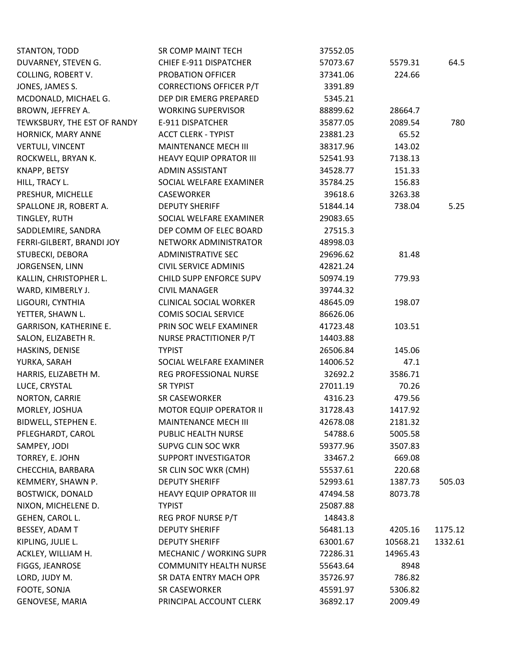| STANTON, TODD                 | SR COMP MAINT TECH             | 37552.05 |          |         |
|-------------------------------|--------------------------------|----------|----------|---------|
| DUVARNEY, STEVEN G.           | CHIEF E-911 DISPATCHER         | 57073.67 | 5579.31  | 64.5    |
| COLLING, ROBERT V.            | PROBATION OFFICER              | 37341.06 | 224.66   |         |
| JONES, JAMES S.               | <b>CORRECTIONS OFFICER P/T</b> | 3391.89  |          |         |
| MCDONALD, MICHAEL G.          | DEP DIR EMERG PREPARED         | 5345.21  |          |         |
| BROWN, JEFFREY A.             | <b>WORKING SUPERVISOR</b>      | 88899.62 | 28664.7  |         |
| TEWKSBURY, THE EST OF RANDY   | E-911 DISPATCHER               | 35877.05 | 2089.54  | 780     |
| HORNICK, MARY ANNE            | <b>ACCT CLERK - TYPIST</b>     | 23881.23 | 65.52    |         |
| <b>VERTULI, VINCENT</b>       | MAINTENANCE MECH III           | 38317.96 | 143.02   |         |
| ROCKWELL, BRYAN K.            | <b>HEAVY EQUIP OPRATOR III</b> | 52541.93 | 7138.13  |         |
| KNAPP, BETSY                  | <b>ADMIN ASSISTANT</b>         | 34528.77 | 151.33   |         |
| HILL, TRACY L.                | SOCIAL WELFARE EXAMINER        | 35784.25 | 156.83   |         |
| PRESHUR, MICHELLE             | CASEWORKER                     | 39618.6  | 3263.38  |         |
| SPALLONE JR, ROBERT A.        | <b>DEPUTY SHERIFF</b>          | 51844.14 | 738.04   | 5.25    |
| TINGLEY, RUTH                 | SOCIAL WELFARE EXAMINER        | 29083.65 |          |         |
| SADDLEMIRE, SANDRA            | DEP COMM OF ELEC BOARD         | 27515.3  |          |         |
| FERRI-GILBERT, BRANDI JOY     | NETWORK ADMINISTRATOR          | 48998.03 |          |         |
| STUBECKI, DEBORA              | <b>ADMINISTRATIVE SEC</b>      | 29696.62 | 81.48    |         |
| JORGENSEN, LINN               | <b>CIVIL SERVICE ADMINIS</b>   | 42821.24 |          |         |
| KALLIN, CHRISTOPHER L.        | CHILD SUPP ENFORCE SUPV        | 50974.19 | 779.93   |         |
| WARD, KIMBERLY J.             | <b>CIVIL MANAGER</b>           | 39744.32 |          |         |
| LIGOURI, CYNTHIA              | <b>CLINICAL SOCIAL WORKER</b>  | 48645.09 | 198.07   |         |
| YETTER, SHAWN L.              | <b>COMIS SOCIAL SERVICE</b>    | 86626.06 |          |         |
| <b>GARRISON, KATHERINE E.</b> | PRIN SOC WELF EXAMINER         | 41723.48 | 103.51   |         |
| SALON, ELIZABETH R.           | NURSE PRACTITIONER P/T         | 14403.88 |          |         |
| HASKINS, DENISE               | <b>TYPIST</b>                  | 26506.84 | 145.06   |         |
| YURKA, SARAH                  | SOCIAL WELFARE EXAMINER        | 14006.52 | 47.1     |         |
| HARRIS, ELIZABETH M.          | REG PROFESSIONAL NURSE         | 32692.2  | 3586.71  |         |
| LUCE, CRYSTAL                 | <b>SR TYPIST</b>               | 27011.19 | 70.26    |         |
| NORTON, CARRIE                | SR CASEWORKER                  | 4316.23  | 479.56   |         |
| MORLEY, JOSHUA                | <b>MOTOR EQUIP OPERATOR II</b> | 31728.43 | 1417.92  |         |
| BIDWELL, STEPHEN E.           | <b>MAINTENANCE MECH III</b>    | 42678.08 | 2181.32  |         |
| PFLEGHARDT, CAROL             | PUBLIC HEALTH NURSE            | 54788.6  | 5005.58  |         |
| SAMPEY, JODI                  | SUPVG CLIN SOC WKR             | 59377.96 | 3507.83  |         |
| TORREY, E. JOHN               | <b>SUPPORT INVESTIGATOR</b>    | 33467.2  | 669.08   |         |
| CHECCHIA, BARBARA             | SR CLIN SOC WKR (CMH)          | 55537.61 | 220.68   |         |
| KEMMERY, SHAWN P.             | <b>DEPUTY SHERIFF</b>          | 52993.61 | 1387.73  | 505.03  |
| <b>BOSTWICK, DONALD</b>       | <b>HEAVY EQUIP OPRATOR III</b> | 47494.58 | 8073.78  |         |
| NIXON, MICHELENE D.           | <b>TYPIST</b>                  | 25087.88 |          |         |
| GEHEN, CAROL L.               | REG PROF NURSE P/T             | 14843.8  |          |         |
| BESSEY, ADAM T                | <b>DEPUTY SHERIFF</b>          | 56481.13 | 4205.16  | 1175.12 |
| KIPLING, JULIE L.             | <b>DEPUTY SHERIFF</b>          | 63001.67 | 10568.21 | 1332.61 |
| ACKLEY, WILLIAM H.            | MECHANIC / WORKING SUPR        | 72286.31 | 14965.43 |         |
| FIGGS, JEANROSE               | <b>COMMUNITY HEALTH NURSE</b>  | 55643.64 | 8948     |         |
| LORD, JUDY M.                 | SR DATA ENTRY MACH OPR         | 35726.97 | 786.82   |         |
| FOOTE, SONJA                  | SR CASEWORKER                  | 45591.97 | 5306.82  |         |
| GENOVESE, MARIA               | PRINCIPAL ACCOUNT CLERK        | 36892.17 | 2009.49  |         |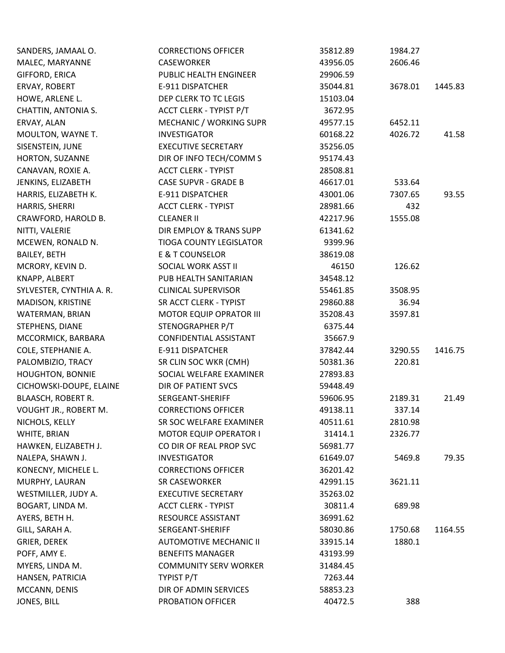| SANDERS, JAMAAL O.        | <b>CORRECTIONS OFFICER</b>     | 35812.89 | 1984.27 |         |
|---------------------------|--------------------------------|----------|---------|---------|
| MALEC, MARYANNE           | <b>CASEWORKER</b>              | 43956.05 | 2606.46 |         |
| GIFFORD, ERICA            | PUBLIC HEALTH ENGINEER         | 29906.59 |         |         |
| ERVAY, ROBERT             | E-911 DISPATCHER               | 35044.81 | 3678.01 | 1445.83 |
| HOWE, ARLENE L.           | DEP CLERK TO TC LEGIS          | 15103.04 |         |         |
| CHATTIN, ANTONIA S.       | ACCT CLERK - TYPIST P/T        | 3672.95  |         |         |
| ERVAY, ALAN               | MECHANIC / WORKING SUPR        | 49577.15 | 6452.11 |         |
| MOULTON, WAYNE T.         | <b>INVESTIGATOR</b>            | 60168.22 | 4026.72 | 41.58   |
| SISENSTEIN, JUNE          | <b>EXECUTIVE SECRETARY</b>     | 35256.05 |         |         |
| HORTON, SUZANNE           | DIR OF INFO TECH/COMM S        | 95174.43 |         |         |
| CANAVAN, ROXIE A.         | <b>ACCT CLERK - TYPIST</b>     | 28508.81 |         |         |
| JENKINS, ELIZABETH        | <b>CASE SUPVR - GRADE B</b>    | 46617.01 | 533.64  |         |
| HARRIS, ELIZABETH K.      | E-911 DISPATCHER               | 43001.06 | 7307.65 | 93.55   |
| HARRIS, SHERRI            | <b>ACCT CLERK - TYPIST</b>     | 28981.66 | 432     |         |
| CRAWFORD, HAROLD B.       | <b>CLEANER II</b>              | 42217.96 | 1555.08 |         |
| NITTI, VALERIE            | DIR EMPLOY & TRANS SUPP        | 61341.62 |         |         |
| MCEWEN, RONALD N.         | <b>TIOGA COUNTY LEGISLATOR</b> | 9399.96  |         |         |
| <b>BAILEY, BETH</b>       | E & T COUNSELOR                | 38619.08 |         |         |
| MCRORY, KEVIN D.          | SOCIAL WORK ASST II            | 46150    | 126.62  |         |
| KNAPP, ALBERT             | PUB HEALTH SANITARIAN          | 34548.12 |         |         |
| SYLVESTER, CYNTHIA A. R.  | <b>CLINICAL SUPERVISOR</b>     | 55461.85 | 3508.95 |         |
| MADISON, KRISTINE         | SR ACCT CLERK - TYPIST         | 29860.88 | 36.94   |         |
| WATERMAN, BRIAN           | <b>MOTOR EQUIP OPRATOR III</b> | 35208.43 | 3597.81 |         |
| STEPHENS, DIANE           | STENOGRAPHER P/T               | 6375.44  |         |         |
| MCCORMICK, BARBARA        | <b>CONFIDENTIAL ASSISTANT</b>  | 35667.9  |         |         |
| COLE, STEPHANIE A.        | E-911 DISPATCHER               | 37842.44 | 3290.55 | 1416.75 |
| PALOMBIZIO, TRACY         | SR CLIN SOC WKR (CMH)          | 50381.36 | 220.81  |         |
| <b>HOUGHTON, BONNIE</b>   | SOCIAL WELFARE EXAMINER        | 27893.83 |         |         |
| CICHOWSKI-DOUPE, ELAINE   | <b>DIR OF PATIENT SVCS</b>     | 59448.49 |         |         |
| <b>BLAASCH, ROBERT R.</b> | SERGEANT-SHERIFF               | 59606.95 | 2189.31 | 21.49   |
| VOUGHT JR., ROBERT M.     | <b>CORRECTIONS OFFICER</b>     | 49138.11 | 337.14  |         |
| NICHOLS, KELLY            | SR SOC WELFARE EXAMINER        | 40511.61 | 2810.98 |         |
| WHITE, BRIAN              | <b>MOTOR EQUIP OPERATOR I</b>  | 31414.1  | 2326.77 |         |
| HAWKEN, ELIZABETH J.      | CO DIR OF REAL PROP SVC        | 56981.77 |         |         |
| NALEPA, SHAWN J.          | <b>INVESTIGATOR</b>            | 61649.07 | 5469.8  | 79.35   |
| KONECNY, MICHELE L.       | <b>CORRECTIONS OFFICER</b>     | 36201.42 |         |         |
| MURPHY, LAURAN            | SR CASEWORKER                  | 42991.15 | 3621.11 |         |
| WESTMILLER, JUDY A.       | <b>EXECUTIVE SECRETARY</b>     | 35263.02 |         |         |
| BOGART, LINDA M.          | <b>ACCT CLERK - TYPIST</b>     | 30811.4  | 689.98  |         |
| AYERS, BETH H.            | RESOURCE ASSISTANT             | 36991.62 |         |         |
| GILL, SARAH A.            | SERGEANT-SHERIFF               | 58030.86 | 1750.68 | 1164.55 |
| <b>GRIER, DEREK</b>       | <b>AUTOMOTIVE MECHANIC II</b>  | 33915.14 | 1880.1  |         |
| POFF, AMY E.              | <b>BENEFITS MANAGER</b>        | 43193.99 |         |         |
| MYERS, LINDA M.           | <b>COMMUNITY SERV WORKER</b>   | 31484.45 |         |         |
| HANSEN, PATRICIA          | TYPIST P/T                     | 7263.44  |         |         |
| MCCANN, DENIS             | DIR OF ADMIN SERVICES          | 58853.23 |         |         |
| JONES, BILL               | PROBATION OFFICER              | 40472.5  | 388     |         |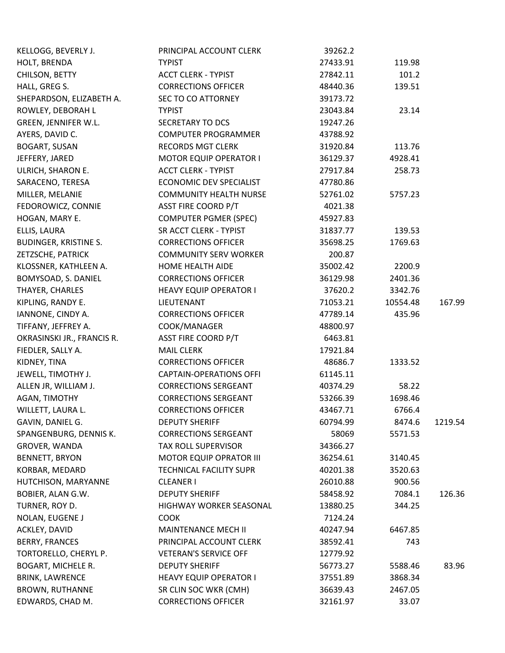| KELLOGG, BEVERLY J.          | PRINCIPAL ACCOUNT CLERK        | 39262.2  |          |         |
|------------------------------|--------------------------------|----------|----------|---------|
| HOLT, BRENDA                 | <b>TYPIST</b>                  | 27433.91 | 119.98   |         |
| CHILSON, BETTY               | <b>ACCT CLERK - TYPIST</b>     | 27842.11 | 101.2    |         |
| HALL, GREG S.                | <b>CORRECTIONS OFFICER</b>     | 48440.36 | 139.51   |         |
| SHEPARDSON, ELIZABETH A.     | SEC TO CO ATTORNEY             | 39173.72 |          |         |
| ROWLEY, DEBORAH L            | <b>TYPIST</b>                  | 23043.84 | 23.14    |         |
| GREEN, JENNIFER W.L.         | SECRETARY TO DCS               | 19247.26 |          |         |
| AYERS, DAVID C.              | <b>COMPUTER PROGRAMMER</b>     | 43788.92 |          |         |
| <b>BOGART, SUSAN</b>         | <b>RECORDS MGT CLERK</b>       | 31920.84 | 113.76   |         |
| JEFFERY, JARED               | <b>MOTOR EQUIP OPERATOR I</b>  | 36129.37 | 4928.41  |         |
| ULRICH, SHARON E.            | <b>ACCT CLERK - TYPIST</b>     | 27917.84 | 258.73   |         |
| SARACENO, TERESA             | <b>ECONOMIC DEV SPECIALIST</b> | 47780.86 |          |         |
| MILLER, MELANIE              | <b>COMMUNITY HEALTH NURSE</b>  | 52761.02 | 5757.23  |         |
| FEDOROWICZ, CONNIE           | <b>ASST FIRE COORD P/T</b>     | 4021.38  |          |         |
| HOGAN, MARY E.               | <b>COMPUTER PGMER (SPEC)</b>   | 45927.83 |          |         |
| ELLIS, LAURA                 | SR ACCT CLERK - TYPIST         | 31837.77 | 139.53   |         |
| <b>BUDINGER, KRISTINE S.</b> | <b>CORRECTIONS OFFICER</b>     | 35698.25 | 1769.63  |         |
| ZETZSCHE, PATRICK            | <b>COMMUNITY SERV WORKER</b>   | 200.87   |          |         |
| KLOSSNER, KATHLEEN A.        | HOME HEALTH AIDE               | 35002.42 | 2200.9   |         |
| BOMYSOAD, S. DANIEL          | <b>CORRECTIONS OFFICER</b>     | 36129.98 | 2401.36  |         |
| THAYER, CHARLES              | HEAVY EQUIP OPERATOR I         | 37620.2  | 3342.76  |         |
| KIPLING, RANDY E.            | LIEUTENANT                     | 71053.21 | 10554.48 | 167.99  |
| IANNONE, CINDY A.            | <b>CORRECTIONS OFFICER</b>     | 47789.14 | 435.96   |         |
| TIFFANY, JEFFREY A.          | COOK/MANAGER                   | 48800.97 |          |         |
| OKRASINSKI JR., FRANCIS R.   | <b>ASST FIRE COORD P/T</b>     | 6463.81  |          |         |
| FIEDLER, SALLY A.            | <b>MAIL CLERK</b>              | 17921.84 |          |         |
| KIDNEY, TINA                 | <b>CORRECTIONS OFFICER</b>     | 48686.7  | 1333.52  |         |
| JEWELL, TIMOTHY J.           | <b>CAPTAIN-OPERATIONS OFFI</b> | 61145.11 |          |         |
| ALLEN JR, WILLIAM J.         | <b>CORRECTIONS SERGEANT</b>    | 40374.29 | 58.22    |         |
| AGAN, TIMOTHY                | <b>CORRECTIONS SERGEANT</b>    | 53266.39 | 1698.46  |         |
| WILLETT, LAURA L.            | <b>CORRECTIONS OFFICER</b>     | 43467.71 | 6766.4   |         |
| GAVIN, DANIEL G.             | <b>DEPUTY SHERIFF</b>          | 60794.99 | 8474.6   | 1219.54 |
| SPANGENBURG, DENNIS K.       | <b>CORRECTIONS SERGEANT</b>    | 58069    | 5571.53  |         |
| GROVER, WANDA                | <b>TAX ROLL SUPERVISOR</b>     | 34366.27 |          |         |
| <b>BENNETT, BRYON</b>        | <b>MOTOR EQUIP OPRATOR III</b> | 36254.61 | 3140.45  |         |
| KORBAR, MEDARD               | TECHNICAL FACILITY SUPR        | 40201.38 | 3520.63  |         |
| HUTCHISON, MARYANNE          | <b>CLEANER I</b>               | 26010.88 | 900.56   |         |
| BOBIER, ALAN G.W.            | <b>DEPUTY SHERIFF</b>          | 58458.92 | 7084.1   | 126.36  |
| TURNER, ROY D.               | HIGHWAY WORKER SEASONAL        | 13880.25 | 344.25   |         |
| NOLAN, EUGENE J              | <b>COOK</b>                    | 7124.24  |          |         |
| ACKLEY, DAVID                | <b>MAINTENANCE MECH II</b>     | 40247.94 | 6467.85  |         |
| <b>BERRY, FRANCES</b>        | PRINCIPAL ACCOUNT CLERK        | 38592.41 | 743      |         |
| TORTORELLO, CHERYL P.        | <b>VETERAN'S SERVICE OFF</b>   | 12779.92 |          |         |
| BOGART, MICHELE R.           | <b>DEPUTY SHERIFF</b>          | 56773.27 | 5588.46  | 83.96   |
| <b>BRINK, LAWRENCE</b>       | <b>HEAVY EQUIP OPERATOR I</b>  | 37551.89 | 3868.34  |         |
| <b>BROWN, RUTHANNE</b>       | SR CLIN SOC WKR (CMH)          | 36639.43 | 2467.05  |         |
| EDWARDS, CHAD M.             | <b>CORRECTIONS OFFICER</b>     | 32161.97 | 33.07    |         |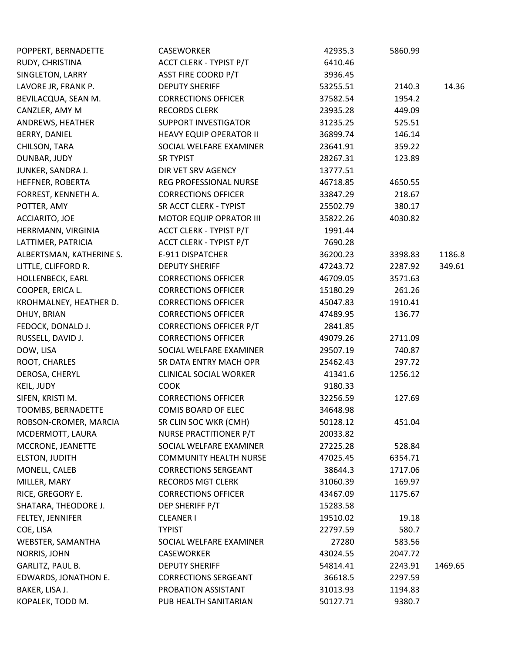| POPPERT, BERNADETTE      | CASEWORKER                     | 42935.3  | 5860.99 |         |
|--------------------------|--------------------------------|----------|---------|---------|
| RUDY, CHRISTINA          | ACCT CLERK - TYPIST P/T        | 6410.46  |         |         |
| SINGLETON, LARRY         | <b>ASST FIRE COORD P/T</b>     | 3936.45  |         |         |
| LAVORE JR, FRANK P.      | <b>DEPUTY SHERIFF</b>          | 53255.51 | 2140.3  | 14.36   |
| BEVILACQUA, SEAN M.      | <b>CORRECTIONS OFFICER</b>     | 37582.54 | 1954.2  |         |
| CANZLER, AMY M           | <b>RECORDS CLERK</b>           | 23935.28 | 449.09  |         |
| ANDREWS, HEATHER         | SUPPORT INVESTIGATOR           | 31235.25 | 525.51  |         |
| <b>BERRY, DANIEL</b>     | <b>HEAVY EQUIP OPERATOR II</b> | 36899.74 | 146.14  |         |
| CHILSON, TARA            | SOCIAL WELFARE EXAMINER        | 23641.91 | 359.22  |         |
| DUNBAR, JUDY             | <b>SR TYPIST</b>               | 28267.31 | 123.89  |         |
| JUNKER, SANDRA J.        | DIR VET SRV AGENCY             | 13777.51 |         |         |
| HEFFNER, ROBERTA         | REG PROFESSIONAL NURSE         | 46718.85 | 4650.55 |         |
| FORREST, KENNETH A.      | <b>CORRECTIONS OFFICER</b>     | 33847.29 | 218.67  |         |
| POTTER, AMY              | SR ACCT CLERK - TYPIST         | 25502.79 | 380.17  |         |
| ACCIARITO, JOE           | <b>MOTOR EQUIP OPRATOR III</b> | 35822.26 | 4030.82 |         |
| HERRMANN, VIRGINIA       | <b>ACCT CLERK - TYPIST P/T</b> | 1991.44  |         |         |
| LATTIMER, PATRICIA       | ACCT CLERK - TYPIST P/T        | 7690.28  |         |         |
| ALBERTSMAN, KATHERINE S. | E-911 DISPATCHER               | 36200.23 | 3398.83 | 1186.8  |
| LITTLE, CLIFFORD R.      | <b>DEPUTY SHERIFF</b>          | 47243.72 | 2287.92 | 349.61  |
| HOLLENBECK, EARL         | <b>CORRECTIONS OFFICER</b>     | 46709.05 | 3571.63 |         |
| COOPER, ERICA L.         | <b>CORRECTIONS OFFICER</b>     | 15180.29 | 261.26  |         |
| KROHMALNEY, HEATHER D.   | <b>CORRECTIONS OFFICER</b>     | 45047.83 | 1910.41 |         |
| DHUY, BRIAN              | <b>CORRECTIONS OFFICER</b>     | 47489.95 | 136.77  |         |
| FEDOCK, DONALD J.        | <b>CORRECTIONS OFFICER P/T</b> | 2841.85  |         |         |
| RUSSELL, DAVID J.        | <b>CORRECTIONS OFFICER</b>     | 49079.26 | 2711.09 |         |
| DOW, LISA                | SOCIAL WELFARE EXAMINER        | 29507.19 | 740.87  |         |
| ROOT, CHARLES            | SR DATA ENTRY MACH OPR         | 25462.43 | 297.72  |         |
| DEROSA, CHERYL           | <b>CLINICAL SOCIAL WORKER</b>  | 41341.6  | 1256.12 |         |
| KEIL, JUDY               | <b>COOK</b>                    | 9180.33  |         |         |
| SIFEN, KRISTI M.         | <b>CORRECTIONS OFFICER</b>     | 32256.59 | 127.69  |         |
| TOOMBS, BERNADETTE       | <b>COMIS BOARD OF ELEC</b>     | 34648.98 |         |         |
| ROBSON-CROMER, MARCIA    | SR CLIN SOC WKR (CMH)          | 50128.12 | 451.04  |         |
| MCDERMOTT, LAURA         | NURSE PRACTITIONER P/T         | 20033.82 |         |         |
| MCCRONE, JEANETTE        | SOCIAL WELFARE EXAMINER        | 27225.28 | 528.84  |         |
| <b>ELSTON, JUDITH</b>    | <b>COMMUNITY HEALTH NURSE</b>  | 47025.45 | 6354.71 |         |
| MONELL, CALEB            | <b>CORRECTIONS SERGEANT</b>    | 38644.3  | 1717.06 |         |
| MILLER, MARY             | <b>RECORDS MGT CLERK</b>       | 31060.39 | 169.97  |         |
| RICE, GREGORY E.         | <b>CORRECTIONS OFFICER</b>     | 43467.09 | 1175.67 |         |
| SHATARA, THEODORE J.     | DEP SHERIFF P/T                | 15283.58 |         |         |
| FELTEY, JENNIFER         | <b>CLEANER I</b>               | 19510.02 | 19.18   |         |
| COE, LISA                | <b>TYPIST</b>                  | 22797.59 | 580.7   |         |
| WEBSTER, SAMANTHA        | SOCIAL WELFARE EXAMINER        | 27280    | 583.56  |         |
| NORRIS, JOHN             | CASEWORKER                     | 43024.55 | 2047.72 |         |
| GARLITZ, PAUL B.         | <b>DEPUTY SHERIFF</b>          | 54814.41 | 2243.91 | 1469.65 |
| EDWARDS, JONATHON E.     | <b>CORRECTIONS SERGEANT</b>    | 36618.5  | 2297.59 |         |
| BAKER, LISA J.           | PROBATION ASSISTANT            | 31013.93 | 1194.83 |         |
| KOPALEK, TODD M.         | PUB HEALTH SANITARIAN          | 50127.71 | 9380.7  |         |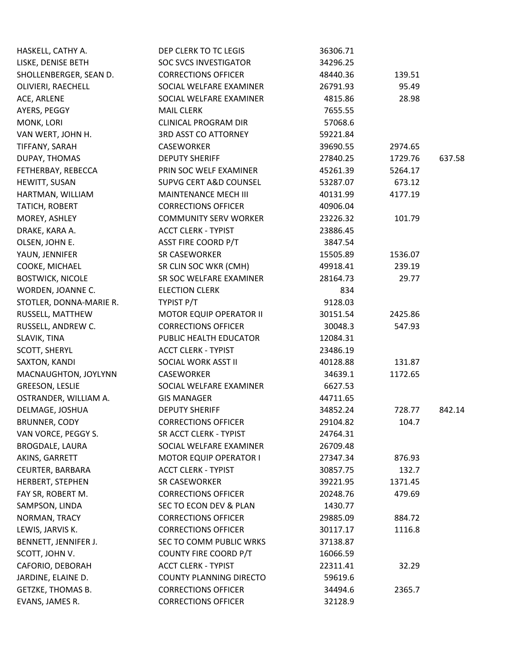| HASKELL, CATHY A.       | DEP CLERK TO TC LEGIS          | 36306.71 |         |        |
|-------------------------|--------------------------------|----------|---------|--------|
| LISKE, DENISE BETH      | <b>SOC SVCS INVESTIGATOR</b>   | 34296.25 |         |        |
| SHOLLENBERGER, SEAN D.  | <b>CORRECTIONS OFFICER</b>     | 48440.36 | 139.51  |        |
| OLIVIERI, RAECHELL      | SOCIAL WELFARE EXAMINER        | 26791.93 | 95.49   |        |
| ACE, ARLENE             | SOCIAL WELFARE EXAMINER        | 4815.86  | 28.98   |        |
| AYERS, PEGGY            | <b>MAIL CLERK</b>              | 7655.55  |         |        |
| MONK, LORI              | <b>CLINICAL PROGRAM DIR</b>    | 57068.6  |         |        |
| VAN WERT, JOHN H.       | 3RD ASST CO ATTORNEY           | 59221.84 |         |        |
| TIFFANY, SARAH          | <b>CASEWORKER</b>              | 39690.55 | 2974.65 |        |
| DUPAY, THOMAS           | <b>DEPUTY SHERIFF</b>          | 27840.25 | 1729.76 | 637.58 |
| FETHERBAY, REBECCA      | PRIN SOC WELF EXAMINER         | 45261.39 | 5264.17 |        |
| HEWITT, SUSAN           | SUPVG CERT A&D COUNSEL         | 53287.07 | 673.12  |        |
| HARTMAN, WILLIAM        | MAINTENANCE MECH III           | 40131.99 | 4177.19 |        |
| TATICH, ROBERT          | <b>CORRECTIONS OFFICER</b>     | 40906.04 |         |        |
| MOREY, ASHLEY           | <b>COMMUNITY SERV WORKER</b>   | 23226.32 | 101.79  |        |
| DRAKE, KARA A.          | <b>ACCT CLERK - TYPIST</b>     | 23886.45 |         |        |
| OLSEN, JOHN E.          | <b>ASST FIRE COORD P/T</b>     | 3847.54  |         |        |
| YAUN, JENNIFER          | SR CASEWORKER                  | 15505.89 | 1536.07 |        |
| COOKE, MICHAEL          | SR CLIN SOC WKR (CMH)          | 49918.41 | 239.19  |        |
| <b>BOSTWICK, NICOLE</b> | SR SOC WELFARE EXAMINER        | 28164.73 | 29.77   |        |
| WORDEN, JOANNE C.       | <b>ELECTION CLERK</b>          | 834      |         |        |
| STOTLER, DONNA-MARIE R. | TYPIST P/T                     | 9128.03  |         |        |
| RUSSELL, MATTHEW        | <b>MOTOR EQUIP OPERATOR II</b> | 30151.54 | 2425.86 |        |
| RUSSELL, ANDREW C.      | <b>CORRECTIONS OFFICER</b>     | 30048.3  | 547.93  |        |
| SLAVIK, TINA            | PUBLIC HEALTH EDUCATOR         | 12084.31 |         |        |
| SCOTT, SHERYL           | <b>ACCT CLERK - TYPIST</b>     | 23486.19 |         |        |
| SAXTON, KANDI           | SOCIAL WORK ASST II            | 40128.88 | 131.87  |        |
| MACNAUGHTON, JOYLYNN    | CASEWORKER                     | 34639.1  | 1172.65 |        |
| GREESON, LESLIE         | SOCIAL WELFARE EXAMINER        | 6627.53  |         |        |
| OSTRANDER, WILLIAM A.   | <b>GIS MANAGER</b>             | 44711.65 |         |        |
| DELMAGE, JOSHUA         | <b>DEPUTY SHERIFF</b>          | 34852.24 | 728.77  | 842.14 |
| <b>BRUNNER, CODY</b>    | <b>CORRECTIONS OFFICER</b>     | 29104.82 | 104.7   |        |
| VAN VORCE, PEGGY S.     | SR ACCT CLERK - TYPIST         | 24764.31 |         |        |
| <b>BROGDALE, LAURA</b>  | SOCIAL WELFARE EXAMINER        | 26709.48 |         |        |
| AKINS, GARRETT          | <b>MOTOR EQUIP OPERATOR I</b>  | 27347.34 | 876.93  |        |
| CEURTER, BARBARA        | <b>ACCT CLERK - TYPIST</b>     | 30857.75 | 132.7   |        |
| HERBERT, STEPHEN        | SR CASEWORKER                  | 39221.95 | 1371.45 |        |
| FAY SR, ROBERT M.       | <b>CORRECTIONS OFFICER</b>     | 20248.76 | 479.69  |        |
| SAMPSON, LINDA          | SEC TO ECON DEV & PLAN         | 1430.77  |         |        |
| NORMAN, TRACY           | <b>CORRECTIONS OFFICER</b>     | 29885.09 | 884.72  |        |
| LEWIS, JARVIS K.        | <b>CORRECTIONS OFFICER</b>     | 30117.17 | 1116.8  |        |
| BENNETT, JENNIFER J.    | SEC TO COMM PUBLIC WRKS        | 37138.87 |         |        |
| SCOTT, JOHN V.          | COUNTY FIRE COORD P/T          | 16066.59 |         |        |
| CAFORIO, DEBORAH        | <b>ACCT CLERK - TYPIST</b>     | 22311.41 | 32.29   |        |
| JARDINE, ELAINE D.      | <b>COUNTY PLANNING DIRECTO</b> | 59619.6  |         |        |
| GETZKE, THOMAS B.       | <b>CORRECTIONS OFFICER</b>     | 34494.6  | 2365.7  |        |
| EVANS, JAMES R.         | <b>CORRECTIONS OFFICER</b>     | 32128.9  |         |        |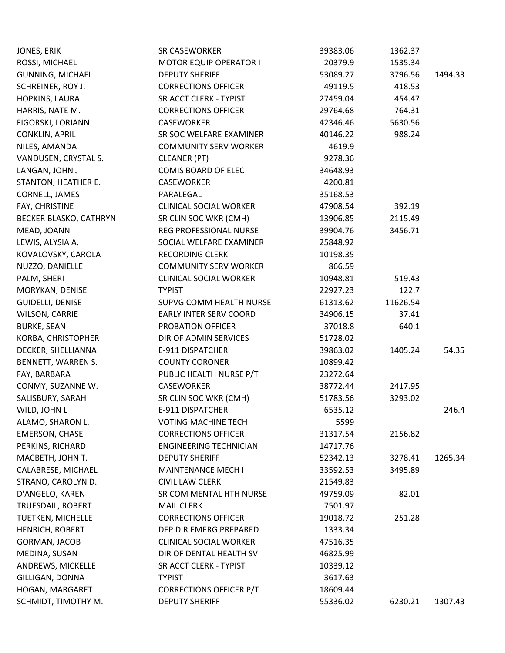| JONES, ERIK             | SR CASEWORKER                  | 39383.06 | 1362.37  |         |
|-------------------------|--------------------------------|----------|----------|---------|
| ROSSI, MICHAEL          | <b>MOTOR EQUIP OPERATOR I</b>  | 20379.9  | 1535.34  |         |
| <b>GUNNING, MICHAEL</b> | <b>DEPUTY SHERIFF</b>          | 53089.27 | 3796.56  | 1494.33 |
| SCHREINER, ROY J.       | <b>CORRECTIONS OFFICER</b>     | 49119.5  | 418.53   |         |
| HOPKINS, LAURA          | SR ACCT CLERK - TYPIST         | 27459.04 | 454.47   |         |
| HARRIS, NATE M.         | <b>CORRECTIONS OFFICER</b>     | 29764.68 | 764.31   |         |
| FIGORSKI, LORIANN       | <b>CASEWORKER</b>              | 42346.46 | 5630.56  |         |
| <b>CONKLIN, APRIL</b>   | SR SOC WELFARE EXAMINER        | 40146.22 | 988.24   |         |
| NILES, AMANDA           | <b>COMMUNITY SERV WORKER</b>   | 4619.9   |          |         |
| VANDUSEN, CRYSTAL S.    | CLEANER (PT)                   | 9278.36  |          |         |
| LANGAN, JOHN J          | <b>COMIS BOARD OF ELEC</b>     | 34648.93 |          |         |
| STANTON, HEATHER E.     | CASEWORKER                     | 4200.81  |          |         |
| CORNELL, JAMES          | PARALEGAL                      | 35168.53 |          |         |
| FAY, CHRISTINE          | <b>CLINICAL SOCIAL WORKER</b>  | 47908.54 | 392.19   |         |
| BECKER BLASKO, CATHRYN  | SR CLIN SOC WKR (CMH)          | 13906.85 | 2115.49  |         |
| MEAD, JOANN             | REG PROFESSIONAL NURSE         | 39904.76 | 3456.71  |         |
| LEWIS, ALYSIA A.        | SOCIAL WELFARE EXAMINER        | 25848.92 |          |         |
| KOVALOVSKY, CAROLA      | <b>RECORDING CLERK</b>         | 10198.35 |          |         |
| NUZZO, DANIELLE         | <b>COMMUNITY SERV WORKER</b>   | 866.59   |          |         |
| PALM, SHERI             | <b>CLINICAL SOCIAL WORKER</b>  | 10948.81 | 519.43   |         |
| MORYKAN, DENISE         | <b>TYPIST</b>                  | 22927.23 | 122.7    |         |
| GUIDELLI, DENISE        | SUPVG COMM HEALTH NURSE        | 61313.62 | 11626.54 |         |
| WILSON, CARRIE          | <b>EARLY INTER SERV COORD</b>  | 34906.15 | 37.41    |         |
| <b>BURKE, SEAN</b>      | PROBATION OFFICER              | 37018.8  | 640.1    |         |
| KORBA, CHRISTOPHER      | DIR OF ADMIN SERVICES          | 51728.02 |          |         |
| DECKER, SHELLIANNA      | E-911 DISPATCHER               | 39863.02 | 1405.24  | 54.35   |
| BENNETT, WARREN S.      | <b>COUNTY CORONER</b>          | 10899.42 |          |         |
| FAY, BARBARA            | PUBLIC HEALTH NURSE P/T        | 23272.64 |          |         |
| CONMY, SUZANNE W.       | <b>CASEWORKER</b>              | 38772.44 | 2417.95  |         |
| SALISBURY, SARAH        | SR CLIN SOC WKR (CMH)          | 51783.56 | 3293.02  |         |
| WILD, JOHN L            | E-911 DISPATCHER               | 6535.12  |          | 246.4   |
| ALAMO, SHARON L.        | <b>VOTING MACHINE TECH</b>     | 5599     |          |         |
| <b>EMERSON, CHASE</b>   | <b>CORRECTIONS OFFICER</b>     | 31317.54 | 2156.82  |         |
| PERKINS, RICHARD        | <b>ENGINEERING TECHNICIAN</b>  | 14717.76 |          |         |
| MACBETH, JOHN T.        | <b>DEPUTY SHERIFF</b>          | 52342.13 | 3278.41  | 1265.34 |
| CALABRESE, MICHAEL      | <b>MAINTENANCE MECH I</b>      | 33592.53 | 3495.89  |         |
| STRANO, CAROLYN D.      | <b>CIVIL LAW CLERK</b>         | 21549.83 |          |         |
| D'ANGELO, KAREN         | SR COM MENTAL HTH NURSE        | 49759.09 | 82.01    |         |
| TRUESDAIL, ROBERT       | <b>MAIL CLERK</b>              | 7501.97  |          |         |
| TUETKEN, MICHELLE       | <b>CORRECTIONS OFFICER</b>     | 19018.72 | 251.28   |         |
| <b>HENRICH, ROBERT</b>  | DEP DIR EMERG PREPARED         | 1333.34  |          |         |
| GORMAN, JACOB           | <b>CLINICAL SOCIAL WORKER</b>  | 47516.35 |          |         |
| MEDINA, SUSAN           | DIR OF DENTAL HEALTH SV        | 46825.99 |          |         |
| ANDREWS, MICKELLE       | SR ACCT CLERK - TYPIST         | 10339.12 |          |         |
| GILLIGAN, DONNA         | <b>TYPIST</b>                  | 3617.63  |          |         |
| HOGAN, MARGARET         | <b>CORRECTIONS OFFICER P/T</b> | 18609.44 |          |         |
| SCHMIDT, TIMOTHY M.     | <b>DEPUTY SHERIFF</b>          | 55336.02 | 6230.21  | 1307.43 |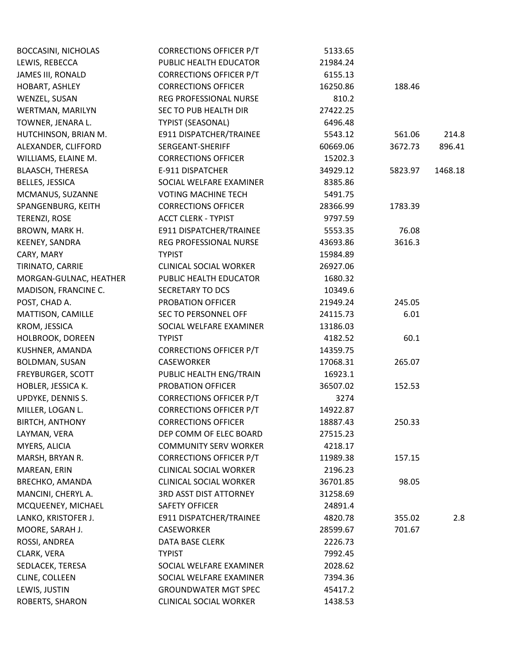| <b>BOCCASINI, NICHOLAS</b> | <b>CORRECTIONS OFFICER P/T</b> | 5133.65  |         |         |
|----------------------------|--------------------------------|----------|---------|---------|
| LEWIS, REBECCA             | PUBLIC HEALTH EDUCATOR         | 21984.24 |         |         |
| JAMES III, RONALD          | <b>CORRECTIONS OFFICER P/T</b> | 6155.13  |         |         |
| HOBART, ASHLEY             | <b>CORRECTIONS OFFICER</b>     | 16250.86 | 188.46  |         |
| WENZEL, SUSAN              | REG PROFESSIONAL NURSE         | 810.2    |         |         |
| WERTMAN, MARILYN           | SEC TO PUB HEALTH DIR          | 27422.25 |         |         |
| TOWNER, JENARA L.          | <b>TYPIST (SEASONAL)</b>       | 6496.48  |         |         |
| HUTCHINSON, BRIAN M.       | E911 DISPATCHER/TRAINEE        | 5543.12  | 561.06  | 214.8   |
| ALEXANDER, CLIFFORD        | SERGEANT-SHERIFF               | 60669.06 | 3672.73 | 896.41  |
| WILLIAMS, ELAINE M.        | <b>CORRECTIONS OFFICER</b>     | 15202.3  |         |         |
| <b>BLAASCH, THERESA</b>    | E-911 DISPATCHER               | 34929.12 | 5823.97 | 1468.18 |
| BELLES, JESSICA            | SOCIAL WELFARE EXAMINER        | 8385.86  |         |         |
| MCMANUS, SUZANNE           | <b>VOTING MACHINE TECH</b>     | 5491.75  |         |         |
| SPANGENBURG, KEITH         | <b>CORRECTIONS OFFICER</b>     | 28366.99 | 1783.39 |         |
| TERENZI, ROSE              | <b>ACCT CLERK - TYPIST</b>     | 9797.59  |         |         |
| BROWN, MARK H.             | E911 DISPATCHER/TRAINEE        | 5553.35  | 76.08   |         |
| KEENEY, SANDRA             | REG PROFESSIONAL NURSE         | 43693.86 | 3616.3  |         |
| CARY, MARY                 | <b>TYPIST</b>                  | 15984.89 |         |         |
| TIRINATO, CARRIE           | <b>CLINICAL SOCIAL WORKER</b>  | 26927.06 |         |         |
| MORGAN-GULNAC, HEATHER     | PUBLIC HEALTH EDUCATOR         | 1680.32  |         |         |
| MADISON, FRANCINE C.       | SECRETARY TO DCS               | 10349.6  |         |         |
| POST, CHAD A.              | PROBATION OFFICER              | 21949.24 | 245.05  |         |
| MATTISON, CAMILLE          | SEC TO PERSONNEL OFF           | 24115.73 | 6.01    |         |
| KROM, JESSICA              | SOCIAL WELFARE EXAMINER        | 13186.03 |         |         |
| HOLBROOK, DOREEN           | <b>TYPIST</b>                  | 4182.52  | 60.1    |         |
| KUSHNER, AMANDA            | <b>CORRECTIONS OFFICER P/T</b> | 14359.75 |         |         |
| BOLDMAN, SUSAN             | CASEWORKER                     | 17068.31 | 265.07  |         |
| FREYBURGER, SCOTT          | PUBLIC HEALTH ENG/TRAIN        | 16923.1  |         |         |
| HOBLER, JESSICA K.         | PROBATION OFFICER              | 36507.02 | 152.53  |         |
| UPDYKE, DENNIS S.          | <b>CORRECTIONS OFFICER P/T</b> | 3274     |         |         |
| MILLER, LOGAN L.           | <b>CORRECTIONS OFFICER P/T</b> | 14922.87 |         |         |
| <b>BIRTCH, ANTHONY</b>     | <b>CORRECTIONS OFFICER</b>     | 18887.43 | 250.33  |         |
| LAYMAN, VERA               | DEP COMM OF ELEC BOARD         | 27515.23 |         |         |
| MYERS, ALICIA              | <b>COMMUNITY SERV WORKER</b>   | 4218.17  |         |         |
| MARSH, BRYAN R.            | <b>CORRECTIONS OFFICER P/T</b> | 11989.38 | 157.15  |         |
| MAREAN, ERIN               | <b>CLINICAL SOCIAL WORKER</b>  | 2196.23  |         |         |
| BRECHKO, AMANDA            | <b>CLINICAL SOCIAL WORKER</b>  | 36701.85 | 98.05   |         |
| MANCINI, CHERYL A.         | <b>3RD ASST DIST ATTORNEY</b>  | 31258.69 |         |         |
| MCQUEENEY, MICHAEL         | <b>SAFETY OFFICER</b>          | 24891.4  |         |         |
| LANKO, KRISTOFER J.        | E911 DISPATCHER/TRAINEE        | 4820.78  | 355.02  | 2.8     |
| MOORE, SARAH J.            | CASEWORKER                     | 28599.67 | 701.67  |         |
| ROSSI, ANDREA              | DATA BASE CLERK                | 2226.73  |         |         |
| CLARK, VERA                | <b>TYPIST</b>                  | 7992.45  |         |         |
| SEDLACEK, TERESA           | SOCIAL WELFARE EXAMINER        | 2028.62  |         |         |
| CLINE, COLLEEN             | SOCIAL WELFARE EXAMINER        | 7394.36  |         |         |
| LEWIS, JUSTIN              | <b>GROUNDWATER MGT SPEC</b>    | 45417.2  |         |         |
| ROBERTS, SHARON            | <b>CLINICAL SOCIAL WORKER</b>  | 1438.53  |         |         |